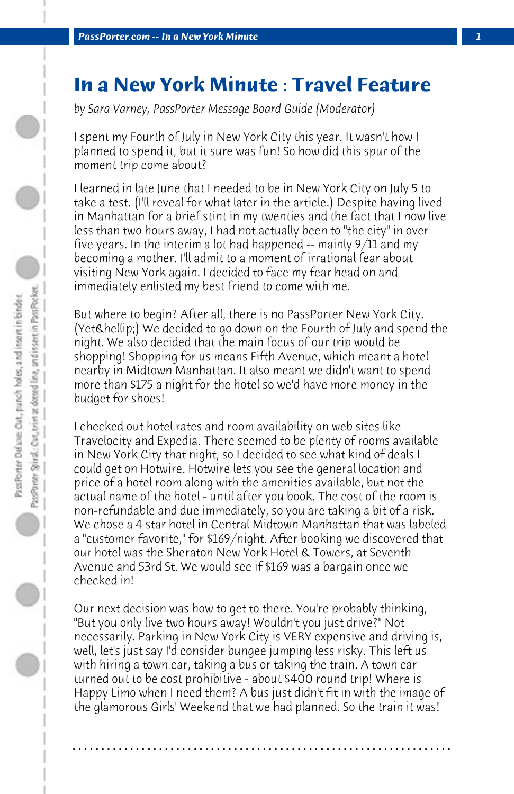## **In a New York Minute : Travel Feature**

*by Sara Varney, PassPorter Message Board Guide (Moderator)*

I spent my Fourth of July in New York City this year. It wasn't how I planned to spend it, but it sure was fun! So how did this spur of the moment trip come about?

I learned in late June that I needed to be in New York City on July 5 to take a test. (I'll reveal for what later in the article.) Despite having lived in Manhattan for a brief stint in my twenties and the fact that I now live less than two hours away, I had not actually been to "the city" in over five years. In the interim a lot had happened -- mainly 9/11 and my becoming a mother. I'll admit to a moment of irrational fear about visiting New York again. I decided to face my fear head on and immediately enlisted my best friend to come with me.

But where to begin? After all, there is no PassPorter New York City. (Yet & hellip;) We decided to go down on the Fourth of July and spend the night. We also decided that the main focus of our trip would be shopping! Shopping for us means Fifth Avenue, which meant a hotel nearby in Midtown Manhattan. It also meant we didn't want to spend more than \$175 a night for the hotel so we'd have more money in the budget for shoes!

I checked out hotel rates and room availability on web sites like Travelocity and Expedia. There seemed to be plenty of rooms available in New York City that night, so I decided to see what kind of deals I could get on Hotwire. Hotwire lets you see the general location and price of a hotel room along with the amenities available, but not the actual name of the hotel - until after you book. The cost of the room is non-refundable and due immediately, so you are taking a bit of a risk. We chose a 4 star hotel in Central Midtown Manhattan that was labeled a "customer favorite," for \$169/night. After booking we discovered that our hotel was the Sheraton New York Hotel & Towers, at Seventh Avenue and 53rd St. We would see if \$169 was a bargain once we checked in!

Our next decision was how to get to there. You're probably thinking, "But you only live two hours away! Wouldn't you just drive?" Not necessarily. Parking in New York City is VERY expensive and driving is, well, let's just say I'd consider bungee jumping less risky. This left us with hiring a town car, taking a bus or taking the train. A town car turned out to be cost prohibitive - about \$400 round trip! Where is Happy Limo when I need them? A bus just didn't fit in with the image of the glamorous Girls' Weekend that we had planned. So the train it was!

**. . . . . . . . . . . . . . . . . . . . . . . . . . . . . . . . . . . . . . . . . . . . . . . . . . . . . . . . . . . . . . . . . .**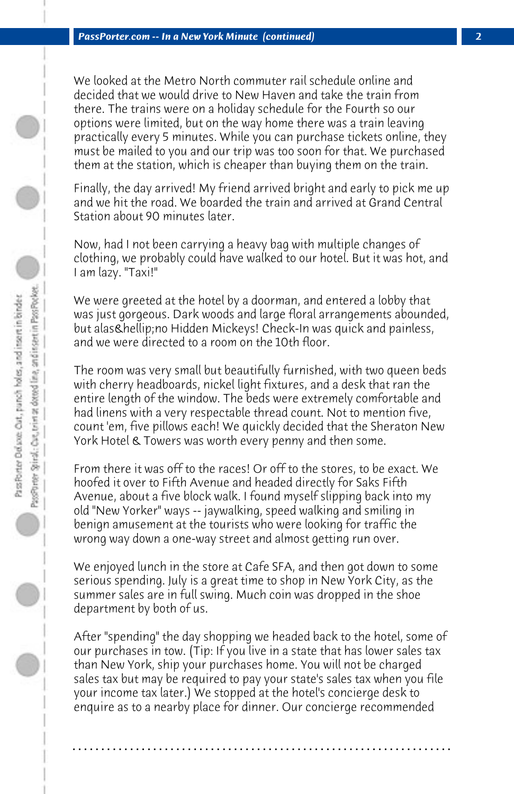We looked at the Metro North commuter rail schedule online and decided that we would drive to New Haven and take the train from there. The trains were on a holiday schedule for the Fourth so our options were limited, but on the way home there was a train leaving practically every 5 minutes. While you can purchase tickets online, they must be mailed to you and our trip was too soon for that. We purchased them at the station, which is cheaper than buying them on the train.

Finally, the day arrived! My friend arrived bright and early to pick me up and we hit the road. We boarded the train and arrived at Grand Central Station about 90 minutes later.

Now, had I not been carrying a heavy bag with multiple changes of clothing, we probably could have walked to our hotel. But it was hot, and I am lazy. "Taxi!"

We were greeted at the hotel by a doorman, and entered a lobby that was just gorgeous. Dark woods and large floral arrangements abounded, but alas & hellip; no Hidden Mickeys! Check-In was quick and painless, and we were directed to a room on the 10th floor.

The room was very small but beautifully furnished, with two queen beds with cherry headboards, nickel light fixtures, and a desk that ran the entire length of the window. The beds were extremely comfortable and had linens with a very respectable thread count. Not to mention five, count 'em, five pillows each! We quickly decided that the Sheraton New York Hotel & Towers was worth every penny and then some.

From there it was off to the races! Or off to the stores, to be exact. We hoofed it over to Fifth Avenue and headed directly for Saks Fifth Avenue, about a five block walk. I found myself slipping back into my old "New Yorker" ways -- jaywalking, speed walking and smiling in benign amusement at the tourists who were looking for traffic the wrong way down a one-way street and almost getting run over.

We enjoyed lunch in the store at Cafe SFA, and then got down to some serious spending. July is a great time to shop in New York City, as the summer sales are in full swing. Much coin was dropped in the shoe department by both of us.

After "spending" the day shopping we headed back to the hotel, some of our purchases in tow. (Tip: If you live in a state that has lower sales tax than New York, ship your purchases home. You will not be charged sales tax but may be required to pay your state's sales tax when you file your income tax later.) We stopped at the hotel's concierge desk to enquire as to a nearby place for dinner. Our concierge recommended

**. . . . . . . . . . . . . . . . . . . . . . . . . . . . . . . . . . . . . . . . . . . . . . . . . . . . . . . . . . . . . . . . . .**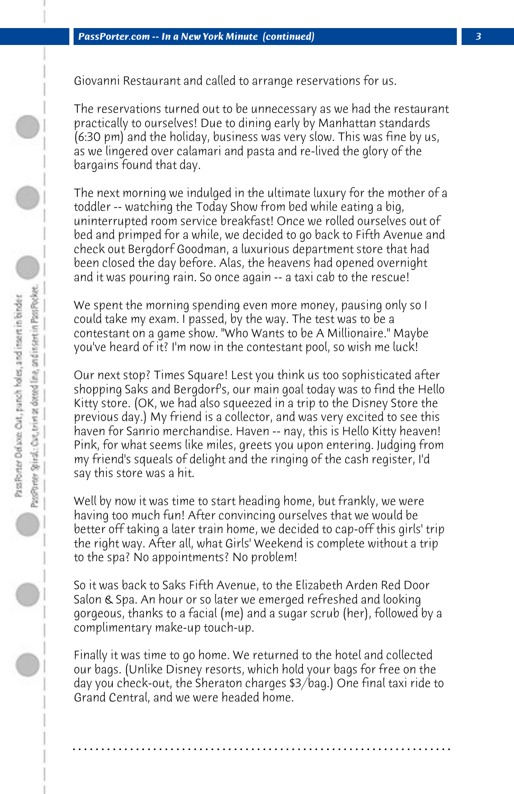Giovanni Restaurant and called to arrange reservations for us.

The reservations turned out to be unnecessary as we had the restaurant practically to ourselves! Due to dining early by Manhattan standards (6:30 pm) and the holiday, business was very slow. This was fine by us, as we lingered over calamari and pasta and re-lived the glory of the bargains found that day.

The next morning we indulged in the ultimate luxury for the mother of a toddler -- watching the Today Show from bed while eating a big, uninterrupted room service breakfast! Once we rolled ourselves out of bed and primped for a while, we decided to go back to Fifth Avenue and check out Bergdorf Goodman, a luxurious department store that had been closed the day before. Alas, the heavens had opened overnight and it was pouring rain. So once again -- a taxi cab to the rescue!

We spent the morning spending even more money, pausing only so I could take my exam. I passed, by the way. The test was to be a contestant on a game show. "Who Wants to be A Millionaire." Maybe you've heard of it? I'm now in the contestant pool, so wish me luck!

Our next stop? Times Square! Lest you think us too sophisticated after shopping Saks and Bergdorf's, our main goal today was to find the Hello Kitty store. (OK, we had also squeezed in a trip to the Disney Store the previous day.) My friend is a collector, and was very excited to see this haven for Sanrio merchandise. Haven -- nay, this is Hello Kitty heaven! Pink, for what seems like miles, greets you upon entering. Judging from my friend's squeals of delight and the ringing of the cash register, I'd say this store was a hit.

Well by now it was time to start heading home, but frankly, we were having too much fun! After convincing ourselves that we would be better off taking a later train home, we decided to cap-off this girls' trip the right way. After all, what Girls' Weekend is complete without a trip to the spa? No appointments? No problem!

So it was back to Saks Fifth Avenue, to the Elizabeth Arden Red Door Salon & Spa. An hour or so later we emerged refreshed and looking gorgeous, thanks to a facial (me) and a sugar scrub (her), followed by a complimentary make-up touch-up.

Finally it was time to go home. We returned to the hotel and collected our bags. (Unlike Disney resorts, which hold your bags for free on the day you check-out, the Sheraton charges \$3/bag.) One final taxi ride to Grand Central, and we were headed home.

**. . . . . . . . . . . . . . . . . . . . . . . . . . . . . . . . . . . . . . . . . . . . . . . . . . . . . . . . . . . . . . . . . .**